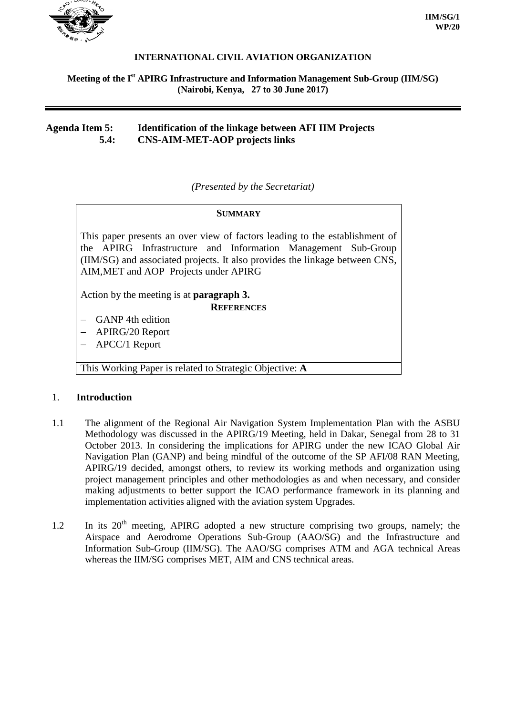

### **INTERNATIONAL CIVIL AVIATION ORGANIZATION**

### **Meeting of the I st APIRG Infrastructure and Information Management Sub-Group (IIM/SG) (Nairobi, Kenya, 27 to 30 June 2017)**

## **Agenda Item 5: Identification of the linkage between AFI IIM Projects 5.4: CNS-AIM-MET-AOP projects links**

*(Presented by the Secretariat)*

#### **SUMMARY**

This paper presents an over view of factors leading to the establishment of the APIRG Infrastructure and Information Management Sub-Group (IIM/SG) and associated projects. It also provides the linkage between CNS, AIM,MET and AOP Projects under APIRG

Action by the meeting is at **paragraph 3.**

**REFERENCES**

- − GANP 4th edition
- − APIRG/20 Report
- − APCC/1 Report

This Working Paper is related to Strategic Objective: **A**

#### 1. **Introduction**

- 1.1 The alignment of the Regional Air Navigation System Implementation Plan with the ASBU Methodology was discussed in the APIRG/19 Meeting, held in Dakar, Senegal from 28 to 31 October 2013. In considering the implications for APIRG under the new ICAO Global Air Navigation Plan (GANP) and being mindful of the outcome of the SP AFI/08 RAN Meeting, APIRG/19 decided, amongst others, to review its working methods and organization using project management principles and other methodologies as and when necessary, and consider making adjustments to better support the ICAO performance framework in its planning and implementation activities aligned with the aviation system Upgrades.
- $1.2$  In its  $20<sup>th</sup>$  meeting, APIRG adopted a new structure comprising two groups, namely; the Airspace and Aerodrome Operations Sub-Group (AAO/SG) and the Infrastructure and Information Sub-Group (IIM/SG). The AAO/SG comprises ATM and AGA technical Areas whereas the IIM/SG comprises MET, AIM and CNS technical areas.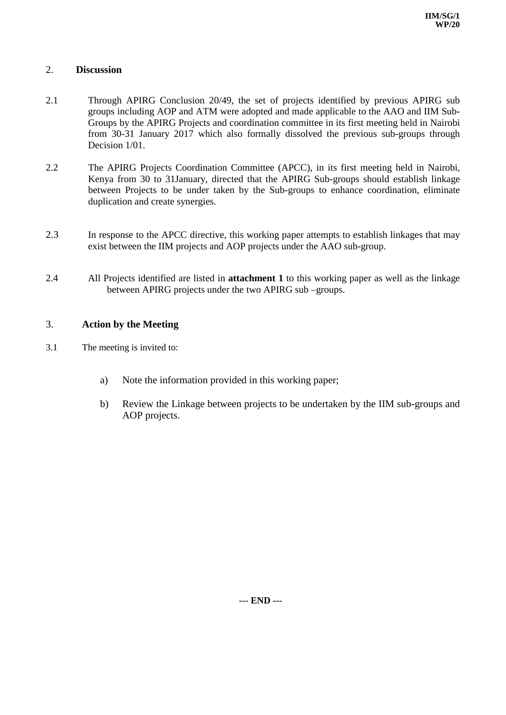## 2. **Discussion**

- 2.1 Through APIRG Conclusion 20/49, the set of projects identified by previous APIRG sub groups including AOP and ATM were adopted and made applicable to the AAO and IIM Sub-Groups by the APIRG Projects and coordination committee in its first meeting held in Nairobi from 30-31 January 2017 which also formally dissolved the previous sub-groups through Decision 1/01.
- 2.2 The APIRG Projects Coordination Committee (APCC), in its first meeting held in Nairobi, Kenya from 30 to 31January, directed that the APIRG Sub-groups should establish linkage between Projects to be under taken by the Sub-groups to enhance coordination, eliminate duplication and create synergies.
- 2.3 In response to the APCC directive, this working paper attempts to establish linkages that may exist between the IIM projects and AOP projects under the AAO sub-group.
- 2.4 All Projects identified are listed in **attachment 1** to this working paper as well as the linkage between APIRG projects under the two APIRG sub –groups.

## 3. **Action by the Meeting**

- 3.1 The meeting is invited to:
	- a) Note the information provided in this working paper;
	- b) Review the Linkage between projects to be undertaken by the IIM sub-groups and AOP projects.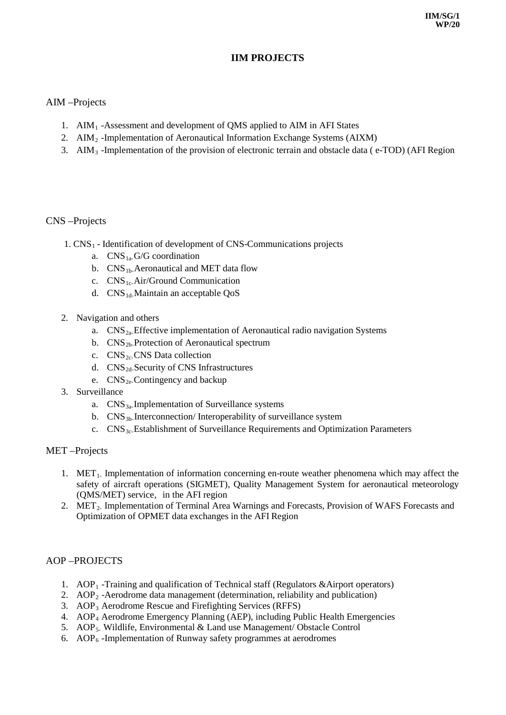# **IIM PROJECTS**

## AIM –Projects

- 1. AIM1 -Assessment and development of QMS applied to AIM in AFI States
- 2. AIM<sub>2</sub> -Implementation of Aeronautical Information Exchange Systems (AIXM)
- 3. AIM3 -Implementation of the provision of electronic terrain and obstacle data ( e-TOD) (AFI Region

### CNS –Projects

- 1.  $CNS<sub>1</sub>$  Identification of development of CNS-Communications projects
	- a.  $CNS_{1a}G/G$  coordination
	- b.  $CNS_{1b}$ -Aeronautical and MET data flow
	- c.  $CNS_{1c}$ -Air/Ground Communication
	- d. CNS<sub>1d-</sub>Maintain an acceptable OoS
- 2. Navigation and others
	- a.  $CNS_{2a}$  Effective implementation of Aeronautical radio navigation Systems
	- b.  $CNS<sub>2b</sub>$ -Protection of Aeronautical spectrum
	- c.  $CNS<sub>2c</sub>$ CNS Data collection
	- d.  $CNS<sub>2d</sub>$ -Security of CNS Infrastructures
	- e.  $CNS_{2e}$ -Contingency and backup
- 3. Surveillance
	- a.  $CNS_{3a}$ -Implementation of Surveillance systems
	- b.  $CNS_{3b}$ -Interconnection/Interoperability of surveillance system
	- c. CNS3c-Establishment of Surveillance Requirements and Optimization Parameters

#### MET –Projects

- 1. MET<sub>1</sub>. Implementation of information concerning en-route weather phenomena which may affect the safety of aircraft operations (SIGMET), Quality Management System for aeronautical meteorology (QMS/MET) service, in the AFI region
- 2. MET<sub>2</sub>. Implementation of Terminal Area Warnings and Forecasts, Provision of WAFS Forecasts and Optimization of OPMET data exchanges in the AFI Region

### AOP –PROJECTS

- 1.  $AOP_1$ -Training and qualification of Technical staff (Regulators &Airport operators)
- 2.  $AOP<sub>2</sub>$  -Aerodrome data management (determination, reliability and publication)
- 3. AOP3 Aerodrome Rescue and Firefighting Services (RFFS)
- 4. AOP4 Aerodrome Emergency Planning (AEP), including Public Health Emergencies
- 5. AOP<sub>5</sub>. Wildlife, Environmental & Land use Management/ Obstacle Control
- 6.  $AOP<sub>6</sub>$  -Implementation of Runway safety programmes at aerodromes